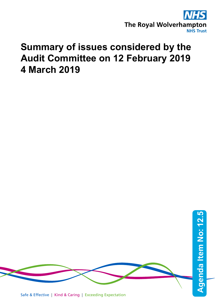

# **Summary of issues considered by the Audit Committee on 12 February 2019 4 March 2019**

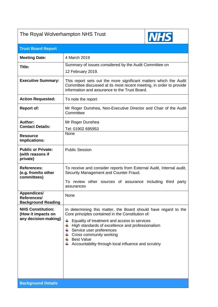

| <b>Trust Board Report</b>                                                            |                                                                                                                                                                                                                                                                                                                                                                                 |
|--------------------------------------------------------------------------------------|---------------------------------------------------------------------------------------------------------------------------------------------------------------------------------------------------------------------------------------------------------------------------------------------------------------------------------------------------------------------------------|
| <b>Meeting Date:</b>                                                                 | 4 March 2019                                                                                                                                                                                                                                                                                                                                                                    |
| <b>Title:</b>                                                                        | Summary of issues considered by the Audit Committee on<br>12 February 2019.                                                                                                                                                                                                                                                                                                     |
| <b>Executive Summary:</b>                                                            | This report sets out the more significant matters which the Audit<br>Committee discussed at its most recent meeting, in order to provide<br>information and assurance to the Trust Board.                                                                                                                                                                                       |
| <b>Action Requested:</b>                                                             | To note the report                                                                                                                                                                                                                                                                                                                                                              |
| <b>Report of:</b>                                                                    | Mr Roger Dunshea, Non-Executive Director and Chair of the Audit<br>Committee                                                                                                                                                                                                                                                                                                    |
| <b>Author:</b><br><b>Contact Details:</b><br><b>Resource</b><br><b>Implications:</b> | Mr Roger Dunshea<br>Tel: 01902 695953<br>None                                                                                                                                                                                                                                                                                                                                   |
| <b>Public or Private:</b><br>(with reasons if<br>private)                            | <b>Public Session</b>                                                                                                                                                                                                                                                                                                                                                           |
| <b>References:</b><br>(e.g. from/to other<br>committees)                             | To receive and consider reports from External Audit, Internal audit,<br>Security Management and Counter Fraud.<br>To review other sources of assurance including third<br>party<br>assurances                                                                                                                                                                                   |
| Appendices/<br>References/<br><b>Background Reading</b>                              | None                                                                                                                                                                                                                                                                                                                                                                            |
| <b>NHS Constitution:</b><br>(How it impacts on<br>any decision-making)               | In determining this matter, the Board should have regard to the<br>Core principles contained in the Constitution of:<br>Equality of treatment and access to services<br>₩<br>High standards of excellence and professionalism<br>₩<br>Service user preferences<br>Cross community working<br>÷<br><b>Best Value</b><br>₩<br>Accountability through local influence and scrutiny |
| <b>Background Details</b>                                                            |                                                                                                                                                                                                                                                                                                                                                                                 |